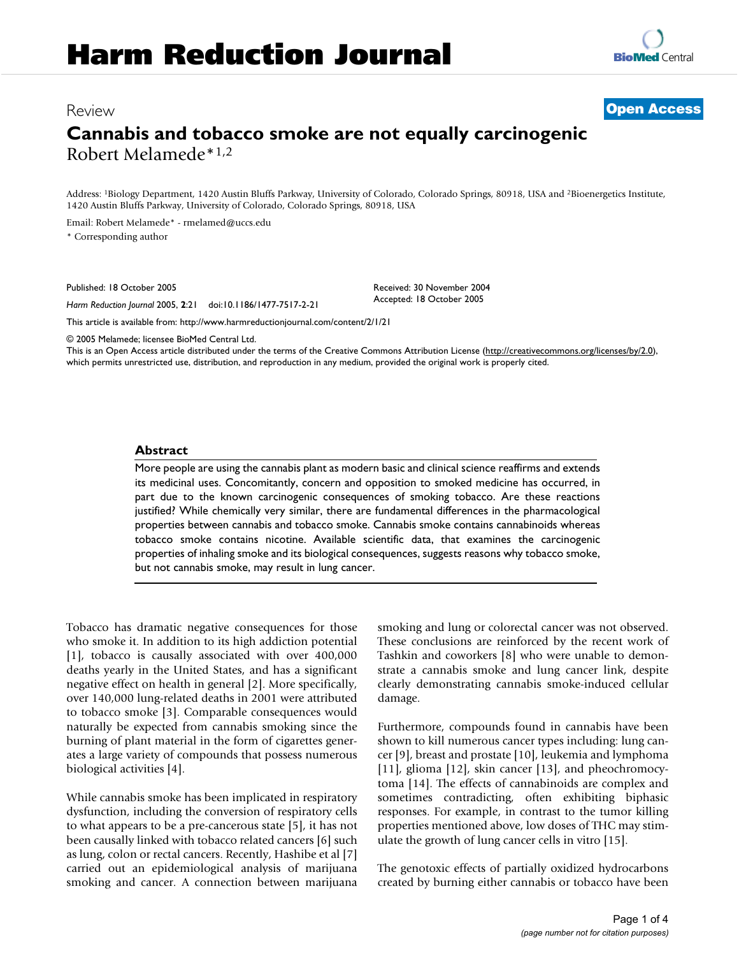## Review **Open Access**

# **Cannabis and tobacco smoke are not equally carcinogenic** Robert Melamede\*1,2

Address: <sup>1</sup>Biology Department, 1420 Austin Bluffs Parkway, University of Colorado, Colorado Springs, 80918, USA and <sup>2</sup>Bioenergetics Institute, 1420 Austin Bluffs Parkway, University of Colorado, Colorado Springs, 80918, USA

Email: Robert Melamede\* - rmelamed@uccs.edu

\* Corresponding author

Published: 18 October 2005

*Harm Reduction Journal* 2005, **2**:21 doi:10.1186/1477-7517-2-21

This article is available from: http://www.harmreductionjournal.com/content/2/1/21

© 2005 Melamede; licensee BioMed Central Ltd.

This is an Open Access article distributed under the terms of the Creative Commons Attribution License (http://creativecommons.org/licenses/by/2.0), which permits unrestricted use, distribution, and reproduction in any medium, provided the original work is properly cited.

Received: 30 November 2004 Accepted: 18 October 2005

#### **Abstract**

More people are using the cannabis plant as modern basic and clinical science reaffirms and extends its medicinal uses. Concomitantly, concern and opposition to smoked medicine has occurred, in part due to the known carcinogenic consequences of smoking tobacco. Are these reactions justified? While chemically very similar, there are fundamental differences in the pharmacological properties between cannabis and tobacco smoke. Cannabis smoke contains cannabinoids whereas tobacco smoke contains nicotine. Available scientific data, that examines the carcinogenic properties of inhaling smoke and its biological consequences, suggests reasons why tobacco smoke, but not cannabis smoke, may result in lung cancer.

Tobacco has dramatic negative consequences for those who smoke it. In addition to its high addiction potential [1], tobacco is causally associated with over 400,000 deaths yearly in the United States, and has a significant negative effect on health in general [2]. More specifically, over 140,000 lung-related deaths in 2001 were attributed to tobacco smoke [3]. Comparable consequences would naturally be expected from cannabis smoking since the burning of plant material in the form of cigarettes generates a large variety of compounds that possess numerous biological activities [4].

While cannabis smoke has been implicated in respiratory dysfunction, including the conversion of respiratory cells to what appears to be a pre-cancerous state [5], it has not been causally linked with tobacco related cancers [6] such as lung, colon or rectal cancers. Recently, Hashibe et al [7] carried out an epidemiological analysis of marijuana smoking and cancer. A connection between marijuana smoking and lung or colorectal cancer was not observed. These conclusions are reinforced by the recent work of Tashkin and coworkers [8] who were unable to demonstrate a cannabis smoke and lung cancer link, despite clearly demonstrating cannabis smoke-induced cellular damage.

Furthermore, compounds found in cannabis have been shown to kill numerous cancer types including: lung cancer [9], breast and prostate [10], leukemia and lymphoma [11], glioma [12], skin cancer [13], and pheochromocytoma [14]. The effects of cannabinoids are complex and sometimes contradicting, often exhibiting biphasic responses. For example, in contrast to the tumor killing properties mentioned above, low doses of THC may stimulate the growth of lung cancer cells in vitro [15].

The genotoxic effects of partially oxidized hydrocarbons created by burning either cannabis or tobacco have been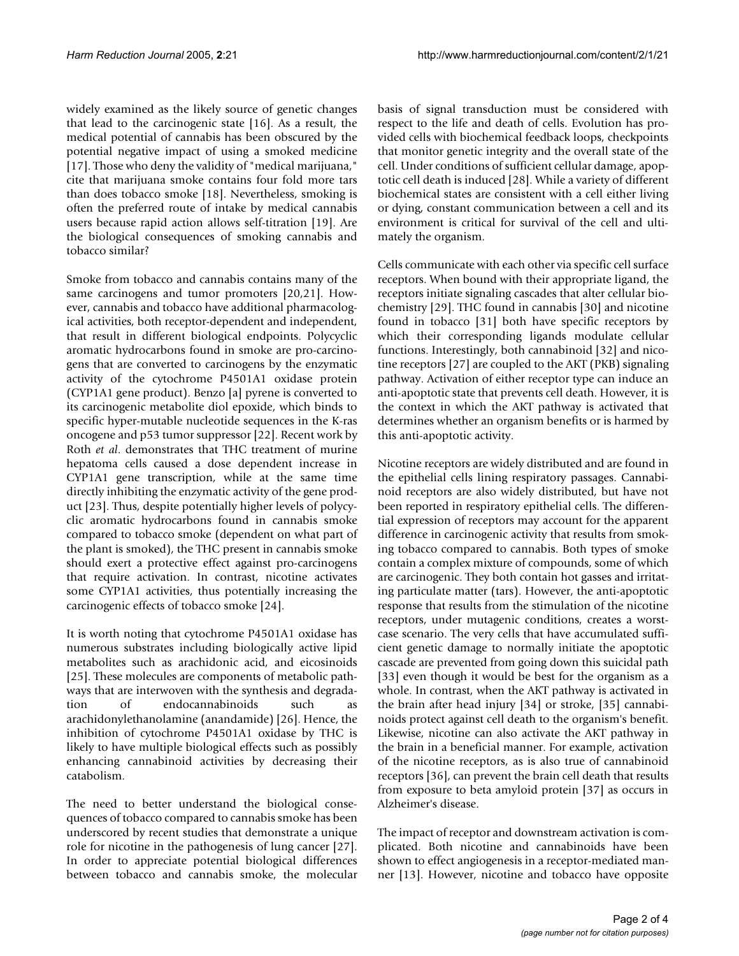widely examined as the likely source of genetic changes that lead to the carcinogenic state [16]. As a result, the medical potential of cannabis has been obscured by the potential negative impact of using a smoked medicine [17]. Those who deny the validity of "medical marijuana," cite that marijuana smoke contains four fold more tars than does tobacco smoke [18]. Nevertheless, smoking is often the preferred route of intake by medical cannabis users because rapid action allows self-titration [19]. Are the biological consequences of smoking cannabis and tobacco similar?

Smoke from tobacco and cannabis contains many of the same carcinogens and tumor promoters [20,21]. However, cannabis and tobacco have additional pharmacological activities, both receptor-dependent and independent, that result in different biological endpoints. Polycyclic aromatic hydrocarbons found in smoke are pro-carcinogens that are converted to carcinogens by the enzymatic activity of the cytochrome P4501A1 oxidase protein (CYP1A1 gene product). Benzo [a] pyrene is converted to its carcinogenic metabolite diol epoxide, which binds to specific hyper-mutable nucleotide sequences in the K-ras oncogene and p53 tumor suppressor [22]. Recent work by Roth *et al*. demonstrates that THC treatment of murine hepatoma cells caused a dose dependent increase in CYP1A1 gene transcription, while at the same time directly inhibiting the enzymatic activity of the gene product [23]. Thus, despite potentially higher levels of polycyclic aromatic hydrocarbons found in cannabis smoke compared to tobacco smoke (dependent on what part of the plant is smoked), the THC present in cannabis smoke should exert a protective effect against pro-carcinogens that require activation. In contrast, nicotine activates some CYP1A1 activities, thus potentially increasing the carcinogenic effects of tobacco smoke [24].

It is worth noting that cytochrome P4501A1 oxidase has numerous substrates including biologically active lipid metabolites such as arachidonic acid, and eicosinoids [25]. These molecules are components of metabolic pathways that are interwoven with the synthesis and degradation of endocannabinoids such as arachidonylethanolamine (anandamide) [26]. Hence, the inhibition of cytochrome P4501A1 oxidase by THC is likely to have multiple biological effects such as possibly enhancing cannabinoid activities by decreasing their catabolism.

The need to better understand the biological consequences of tobacco compared to cannabis smoke has been underscored by recent studies that demonstrate a unique role for nicotine in the pathogenesis of lung cancer [27]. In order to appreciate potential biological differences between tobacco and cannabis smoke, the molecular

basis of signal transduction must be considered with respect to the life and death of cells. Evolution has provided cells with biochemical feedback loops, checkpoints that monitor genetic integrity and the overall state of the cell. Under conditions of sufficient cellular damage, apoptotic cell death is induced [28]. While a variety of different biochemical states are consistent with a cell either living or dying, constant communication between a cell and its environment is critical for survival of the cell and ultimately the organism.

Cells communicate with each other via specific cell surface receptors. When bound with their appropriate ligand, the receptors initiate signaling cascades that alter cellular biochemistry [29]. THC found in cannabis [30] and nicotine found in tobacco [31] both have specific receptors by which their corresponding ligands modulate cellular functions. Interestingly, both cannabinoid [32] and nicotine receptors [27] are coupled to the AKT (PKB) signaling pathway. Activation of either receptor type can induce an anti-apoptotic state that prevents cell death. However, it is the context in which the AKT pathway is activated that determines whether an organism benefits or is harmed by this anti-apoptotic activity.

Nicotine receptors are widely distributed and are found in the epithelial cells lining respiratory passages. Cannabinoid receptors are also widely distributed, but have not been reported in respiratory epithelial cells. The differential expression of receptors may account for the apparent difference in carcinogenic activity that results from smoking tobacco compared to cannabis. Both types of smoke contain a complex mixture of compounds, some of which are carcinogenic. They both contain hot gasses and irritating particulate matter (tars). However, the anti-apoptotic response that results from the stimulation of the nicotine receptors, under mutagenic conditions, creates a worstcase scenario. The very cells that have accumulated sufficient genetic damage to normally initiate the apoptotic cascade are prevented from going down this suicidal path [33] even though it would be best for the organism as a whole. In contrast, when the AKT pathway is activated in the brain after head injury [34] or stroke, [35] cannabinoids protect against cell death to the organism's benefit. Likewise, nicotine can also activate the AKT pathway in the brain in a beneficial manner. For example, activation of the nicotine receptors, as is also true of cannabinoid receptors [36], can prevent the brain cell death that results from exposure to beta amyloid protein [37] as occurs in Alzheimer's disease.

The impact of receptor and downstream activation is complicated. Both nicotine and cannabinoids have been shown to effect angiogenesis in a receptor-mediated manner [13]. However, nicotine and tobacco have opposite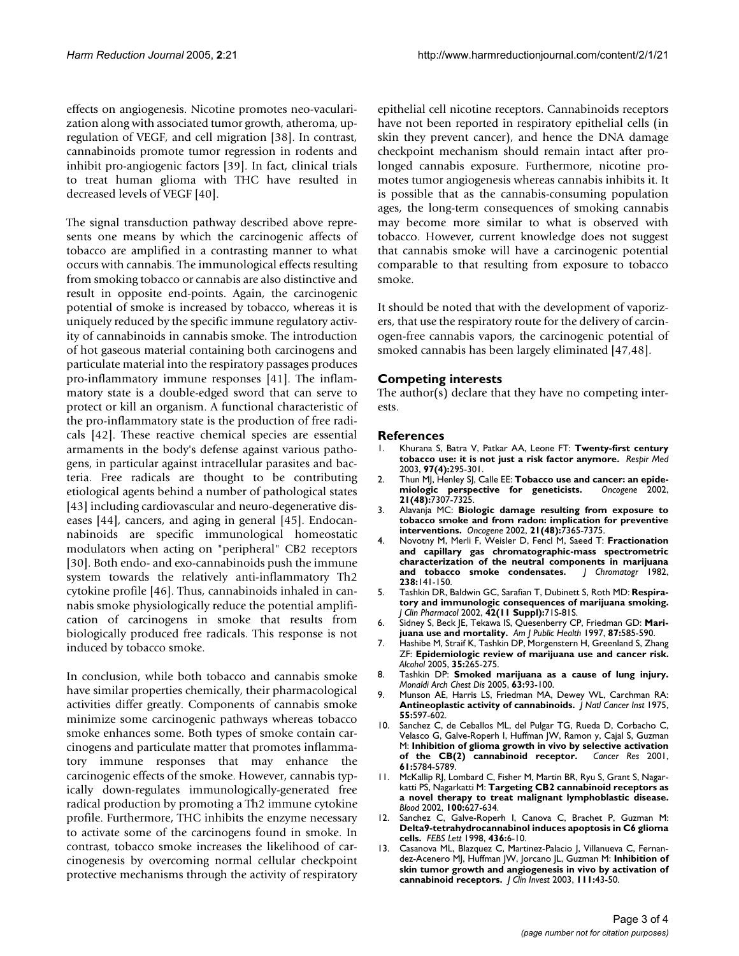effects on angiogenesis. Nicotine promotes neo-vacularization along with associated tumor growth, atheroma, upregulation of VEGF, and cell migration [38]. In contrast, cannabinoids promote tumor regression in rodents and inhibit pro-angiogenic factors [39]. In fact, clinical trials to treat human glioma with THC have resulted in decreased levels of VEGF [40].

The signal transduction pathway described above represents one means by which the carcinogenic affects of tobacco are amplified in a contrasting manner to what occurs with cannabis. The immunological effects resulting from smoking tobacco or cannabis are also distinctive and result in opposite end-points. Again, the carcinogenic potential of smoke is increased by tobacco, whereas it is uniquely reduced by the specific immune regulatory activity of cannabinoids in cannabis smoke. The introduction of hot gaseous material containing both carcinogens and particulate material into the respiratory passages produces pro-inflammatory immune responses [41]. The inflammatory state is a double-edged sword that can serve to protect or kill an organism. A functional characteristic of the pro-inflammatory state is the production of free radicals [42]. These reactive chemical species are essential armaments in the body's defense against various pathogens, in particular against intracellular parasites and bacteria. Free radicals are thought to be contributing etiological agents behind a number of pathological states [43] including cardiovascular and neuro-degenerative diseases [44], cancers, and aging in general [45]. Endocannabinoids are specific immunological homeostatic modulators when acting on "peripheral" CB2 receptors [30]. Both endo- and exo-cannabinoids push the immune system towards the relatively anti-inflammatory Th2 cytokine profile [46]. Thus, cannabinoids inhaled in cannabis smoke physiologically reduce the potential amplification of carcinogens in smoke that results from biologically produced free radicals. This response is not induced by tobacco smoke.

In conclusion, while both tobacco and cannabis smoke have similar properties chemically, their pharmacological activities differ greatly. Components of cannabis smoke minimize some carcinogenic pathways whereas tobacco smoke enhances some. Both types of smoke contain carcinogens and particulate matter that promotes inflammatory immune responses that may enhance the carcinogenic effects of the smoke. However, cannabis typically down-regulates immunologically-generated free radical production by promoting a Th2 immune cytokine profile. Furthermore, THC inhibits the enzyme necessary to activate some of the carcinogens found in smoke. In contrast, tobacco smoke increases the likelihood of carcinogenesis by overcoming normal cellular checkpoint protective mechanisms through the activity of respiratory epithelial cell nicotine receptors. Cannabinoids receptors have not been reported in respiratory epithelial cells (in skin they prevent cancer), and hence the DNA damage checkpoint mechanism should remain intact after prolonged cannabis exposure. Furthermore, nicotine promotes tumor angiogenesis whereas cannabis inhibits it. It is possible that as the cannabis-consuming population ages, the long-term consequences of smoking cannabis may become more similar to what is observed with tobacco. However, current knowledge does not suggest that cannabis smoke will have a carcinogenic potential comparable to that resulting from exposure to tobacco smoke.

It should be noted that with the development of vaporizers, that use the respiratory route for the delivery of carcinogen-free cannabis vapors, the carcinogenic potential of smoked cannabis has been largely eliminated [47,48].

### **Competing interests**

The author(s) declare that they have no competing interests.

#### **References**

- 1. Khurana S, Batra V, Patkar AA, Leone FT: **Twenty-first century tobacco use: it is not just a risk factor anymore.** *Respir Med* 2003, **97(4):**295-301.
- 2. Thun MJ, Henley SJ, Calle EE: **Tobacco use and cancer: an epide-**<br>miologic perspective for geneticists. Oncogene 2002,  $m$ iologic perspective for geneticists. **21(48):**7307-7325.
- 3. Alavanja MC: **Biologic damage resulting from exposure to tobacco smoke and from radon: implication for preventive interventions.** *Oncogene* 2002, **21(48):**7365-7375.
- 4. Novotny M, Merli F, Weisler D, Fencl M, Saeed T: **Fractionation and capillary gas chromatographic-mass spectrometric characterization of the neutral components in marijuana and tobacco smoke condensates.** *J Chromatogr* 1982, **238:**141-150.
- 5. Tashkin DR, Baldwin GC, Sarafian T, Dubinett S, Roth MD: **Respiratory and immunologic consequences of marijuana smoking.** *J Clin Pharmacol* 2002, **42(11 Suppl):**71S-81S.
- 6. Sidney S, Beck JE, Tekawa IS, Quesenberry CP, Friedman GD: **Marijuana use and mortality.** *Am J Public Health* 1997, **87:**585-590.
- 7. Hashibe M, Straif K, Tashkin DP, Morgenstern H, Greenland S, Zhang ZF: **Epidemiologic review of marijuana use and cancer risk.** *Alcohol* 2005, **35:**265-275.
- 8. Tashkin DP: **Smoked marijuana as a cause of lung injury.** *Monaldi Arch Chest Dis* 2005, **63:**93-100.
- 9. Munson AE, Harris LS, Friedman MA, Dewey WL, Carchman RA: **Antineoplastic activity of cannabinoids.** *J Natl Cancer Inst* 1975, **55:**597-602.
- 10. Sanchez C, de Ceballos ML, del Pulgar TG, Rueda D, Corbacho C, Velasco G, Galve-Roperh I, Huffman JW, Ramon y, Cajal S, Guzman M: **Inhibition of glioma growth in vivo by selective activation of the CB(2) cannabinoid receptor.** *Cancer Res* 2001, **61:**5784-5789.
- 11. McKallip RJ, Lombard C, Fisher M, Martin BR, Ryu S, Grant S, Nagarkatti PS, Nagarkatti M: **Targeting CB2 cannabinoid receptors as a novel therapy to treat malignant lymphoblastic disease.** *Blood* 2002, **100:**627-634.
- 12. Sanchez C, Galve-Roperh I, Canova C, Brachet P, Guzman M: **Delta9-tetrahydrocannabinol induces apoptosis in C6 glioma cells.** *FEBS Lett* 1998, **436:**6-10.
- 13. Casanova ML, Blazquez C, Martinez-Palacio J, Villanueva C, Fernandez-Acenero MJ, Huffman JW, Jorcano JL, Guzman M: **Inhibition of skin tumor growth and angiogenesis in vivo by activation of cannabinoid receptors.** *J Clin Invest* 2003, **111:**43-50.